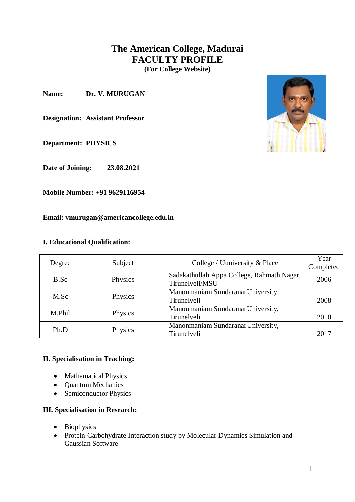# **The American College, Madurai FACULTY PROFILE**

**(For College Website)**

**Name: Dr. V. MURUGAN**

**Designation: Assistant Professor**

**Department: PHYSICS**

**Date of Joining: 23.08.2021**

**Mobile Number: +91 9629116954**

**Email: vmurugan@americancollege.edu.in**

### **I. Educational Qualification:**

|        | Subject | College / Uuniversity & Place              | Year      |
|--------|---------|--------------------------------------------|-----------|
| Degree |         |                                            | Completed |
| B.Sc   | Physics | Sadakathullah Appa College, Rahmath Nagar, | 2006      |
|        |         | Tirunelveli/MSU                            |           |
| M.Sc   | Physics | Manonmaniam Sundaranar University,         |           |
|        |         | Tirunelveli                                | 2008      |
| M.Phil | Physics | Manonmaniam Sundaranar University,         |           |
|        |         | Tirunelveli                                | 2010      |
| Ph.D   | Physics | Manonmaniam Sundaranar University,         |           |
|        |         | Tirunelveli                                | 2017      |

# **II. Specialisation in Teaching:**

- Mathematical Physics
- Quantum Mechanics
- Semiconductor Physics

### **III. Specialisation in Research:**

- Biophysics
- Protein-Carbohydrate Interaction study by Molecular Dynamics Simulation and Gaussian Software

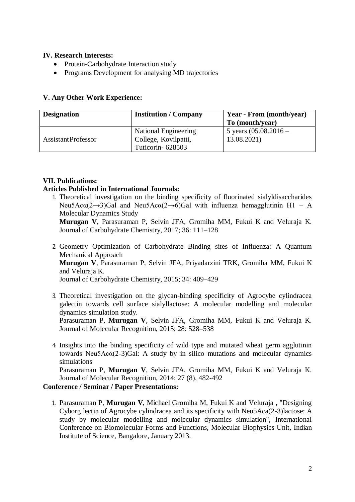### **IV. Research Interests:**

- Protein-Carbohydrate Interaction study
- Programs Development for analysing MD trajectories

### **V. Any Other Work Experience:**

| <b>Designation</b>        | <b>Institution / Company</b>             | Year - From (month/year)               |
|---------------------------|------------------------------------------|----------------------------------------|
|                           |                                          | To (month/year)                        |
| <b>AssistantProfessor</b> | National Engineering                     | 5 years $(05.08.2016 -$<br>13.08.2021) |
|                           | College, Kovilpatti,<br>Tuticorin-628503 |                                        |

# **VII. Publications:**

### **Articles Published in International Journals:**

1. Theoretical investigation on the binding specificity of fluorinated sialyldisaccharides Neu5Ac $\alpha$ (2→3)Gal and Neu5Ac $\alpha$ (2→6)Gal with influenza hemagglutinin H1 – A Molecular Dynamics Study

**Murugan V**, Parasuraman P, Selvin JFA, Gromiha MM, Fukui K and Veluraja K. Journal of Carbohydrate Chemistry, 2017; 36: 111–128

- 2. Geometry Optimization of Carbohydrate Binding sites of Influenza: A Quantum Mechanical Approach **Murugan V**, Parasuraman P, Selvin JFA, Priyadarzini TRK, Gromiha MM, Fukui K and Veluraja K. Journal of Carbohydrate Chemistry, 2015; 34: 409–429
- 3. Theoretical investigation on the glycan-binding specificity of Agrocybe cylindracea galectin towards cell surface sialyllactose: A molecular modelling and molecular dynamics simulation study.

Parasuraman P, **Murugan V**, Selvin JFA, Gromiha MM, Fukui K and Veluraja K. Journal of Molecular Recognition, 2015; 28: 528–538

4. Insights into the binding specificity of wild type and mutated wheat germ agglutinin towards Neu5Acα(2-3)Gal: A study by in silico mutations and molecular dynamics simulations

Parasuraman P, **Murugan V**, Selvin JFA, Gromiha MM, Fukui K and Veluraja K. Journal of Molecular Recognition, 2014; 27 (8), 482-492

# **Conference / Seminar / Paper Presentations:**

1. Parasuraman P, **Murugan V**, Michael Gromiha M, Fukui K and Veluraja , "Designing Cyborg lectin of Agrocybe cylindracea and its specificity with Neu5Aca(2-3)lactose: A study by molecular modelling and molecular dynamics simulation", International Conference on Biomolecular Forms and Functions, Molecular Biophysics Unit, Indian Institute of Science, Bangalore, January 2013.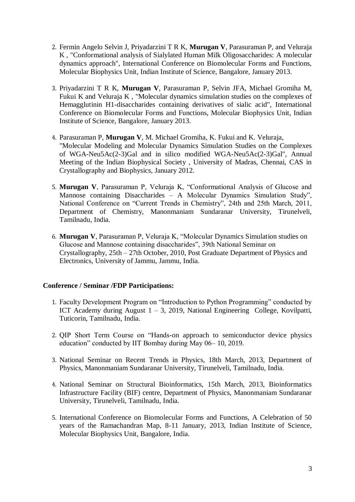- 2. Fermin Angelo Selvin J, Priyadarzini T R K, **Murugan V**, Parasuraman P, and Veluraja K , "Conformational analysis of Sialylated Human Milk Oligosaccharides: A molecular dynamics approach", International Conference on Biomolecular Forms and Functions, Molecular Biophysics Unit, Indian Institute of Science, Bangalore, January 2013.
- 3. Priyadarzini T R K, **Murugan V**, Parasuraman P, Selvin JFA, Michael Gromiha M, Fukui K and Veluraja K , "Molecular dynamics simulation studies on the complexes of Hemagglutinin H1-disaccharides containing derivatives of sialic acid", International Conference on Biomolecular Forms and Functions, Molecular Biophysics Unit, Indian Institute of Science, Bangalore, January 2013.
- 4. Parasuraman P, **Murugan V**, M. Michael Gromiha, K. Fukui and K. Veluraja, "Molecular Modeling and Molecular Dynamics Simulation Studies on the Complexes of WGA-Neu5Ac(2-3)Gal and in silico modified WGA-Neu5Ac(2-3)Gal", Annual Meeting of the Indian Biophysical Society , University of Madras, Chennai, CAS in Crystallography and Biophysics, January 2012.
- 5. **Murugan V**, Parasuraman P, Veluraja K, "Conformational Analysis of Glucose and Mannose containing Disaccharides – A Molecular Dynamics Simulation Study", National Conference on "Current Trends in Chemistry", 24th and 25th March, 2011, Department of Chemistry, Manonmaniam Sundaranar University, Tirunelveli, Tamilnadu, India.
- 6. **Murugan V**, Parasuraman P, Veluraja K, "Molecular Dynamics Simulation studies on Glucose and Mannose containing disaccharides", 39th National Seminar on Crystallography, 25th – 27th October, 2010, Post Graduate Department of Physics and Electronics, University of Jammu, Jammu, India.

### **Conference / Seminar /FDP Participations:**

- 1. Faculty Development Program on "Introduction to Python Programming" conducted by ICT Academy during August 1 – 3, 2019, National Engineering College, Kovilpatti, Tuticorin, Tamilnadu, India.
- 2. QIP Short Term Course on "Hands-on approach to semiconductor device physics education" conducted by IIT Bombay during May 06– 10, 2019.
- 3. National Seminar on Recent Trends in Physics, 18th March, 2013, Department of Physics, Manonmaniam Sundaranar University, Tirunelveli, Tamilnadu, India.
- 4. National Seminar on Structural Bioinformatics, 15th March, 2013, Bioinformatics Infrastructure Facility (BIF) centre, Department of Physics, Manonmaniam Sundaranar University, Tirunelveli, Tamilnadu, India.
- 5. International Conference on Biomolecular Forms and Functions, A Celebration of 50 years of the Ramachandran Map, 8-11 January, 2013, Indian Institute of Science, Molecular Biophysics Unit, Bangalore, India.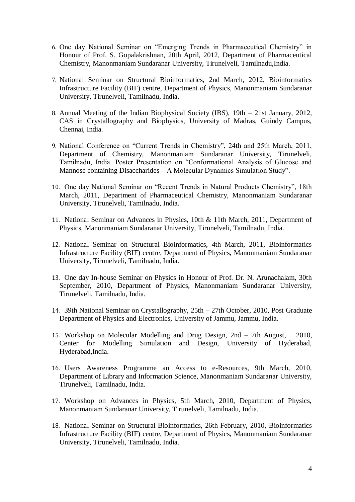- 6. One day National Seminar on "Emerging Trends in Pharmaceutical Chemistry" in Honour of Prof. S. Gopalakrishnan, 20th April, 2012, Department of Pharmaceutical Chemistry, Manonmaniam Sundaranar University, Tirunelveli, Tamilnadu,India.
- 7. National Seminar on Structural Bioinformatics, 2nd March, 2012, Bioinformatics Infrastructure Facility (BIF) centre, Department of Physics, Manonmaniam Sundaranar University, Tirunelveli, Tamilnadu, India.
- 8. Annual Meeting of the Indian Biophysical Society (IBS), 19th 21st January, 2012, CAS in Crystallography and Biophysics, University of Madras, Guindy Campus, Chennai, India.
- 9. National Conference on "Current Trends in Chemistry", 24th and 25th March, 2011, Department of Chemistry, Manonmaniam Sundaranar University, Tirunelveli, Tamilnadu, India. Poster Presentation on "Conformational Analysis of Glucose and Mannose containing Disaccharides – A Molecular Dynamics Simulation Study".
- 10. One day National Seminar on "Recent Trends in Natural Products Chemistry", 18th March, 2011, Department of Pharmaceutical Chemistry, Manonmaniam Sundaranar University, Tirunelveli, Tamilnadu, India.
- 11. National Seminar on Advances in Physics, 10th & 11th March, 2011, Department of Physics, Manonmaniam Sundaranar University, Tirunelveli, Tamilnadu, India.
- 12. National Seminar on Structural Bioinformatics, 4th March, 2011, Bioinformatics Infrastructure Facility (BIF) centre, Department of Physics, Manonmaniam Sundaranar University, Tirunelveli, Tamilnadu, India.
- 13. One day In-house Seminar on Physics in Honour of Prof. Dr. N. Arunachalam, 30th September, 2010, Department of Physics, Manonmaniam Sundaranar University, Tirunelveli, Tamilnadu, India.
- 14. 39th National Seminar on Crystallography, 25th 27th October, 2010, Post Graduate Department of Physics and Electronics, University of Jammu, Jammu, India.
- 15. Workshop on Molecular Modelling and Drug Design, 2nd 7th August, 2010, Center for Modelling Simulation and Design, University of Hyderabad, Hyderabad,India.
- 16. Users Awareness Programme an Access to e-Resources, 9th March, 2010, Department of Library and Information Science, Manonmaniam Sundaranar University, Tirunelveli, Tamilnadu, India.
- 17. Workshop on Advances in Physics, 5th March, 2010, Department of Physics, Manonmaniam Sundaranar University, Tirunelveli, Tamilnadu, India.
- 18. National Seminar on Structural Bioinformatics, 26th February, 2010, Bioinformatics Infrastructure Facility (BIF) centre, Department of Physics, Manonmaniam Sundaranar University, Tirunelveli, Tamilnadu, India.